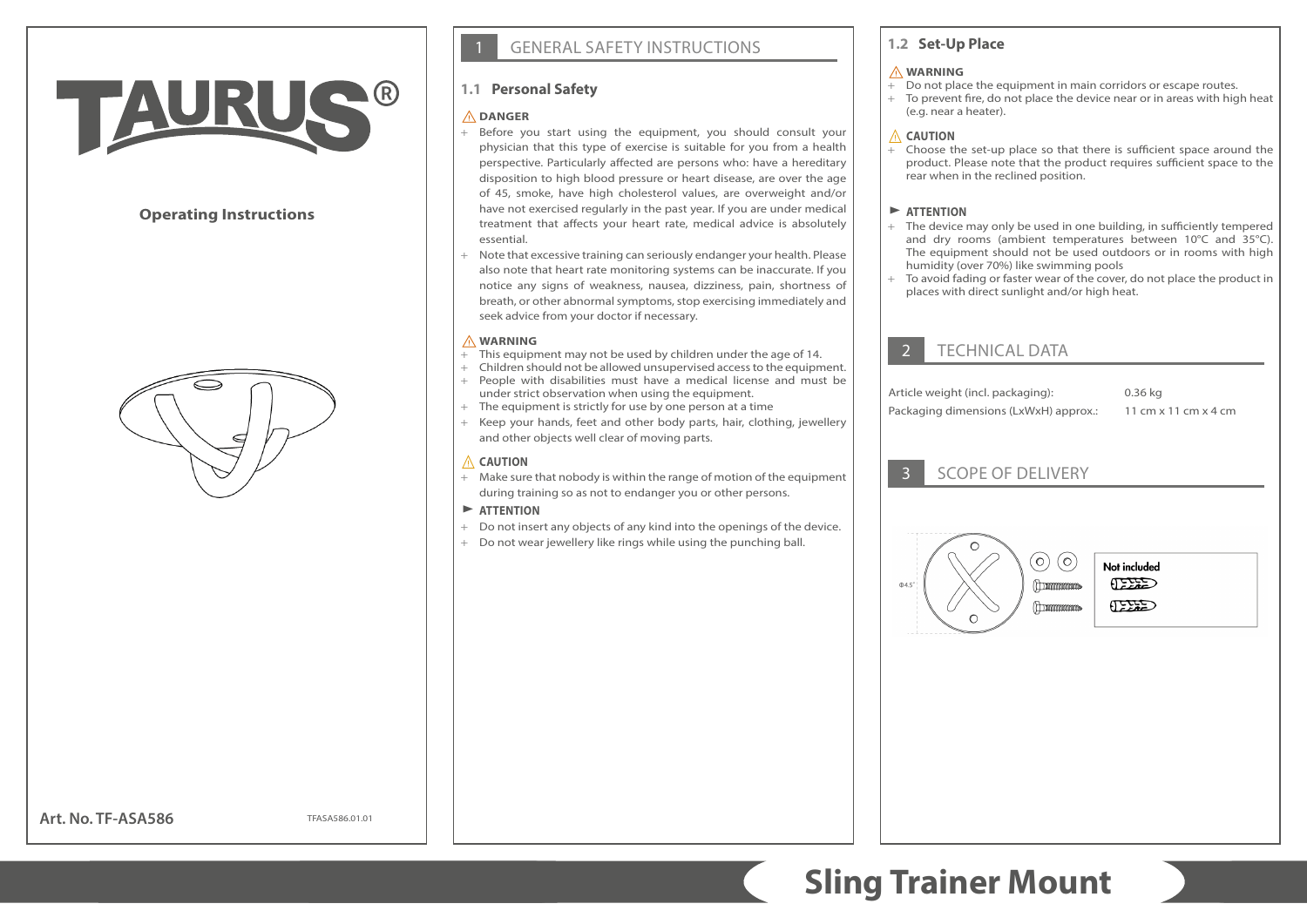# TAURU

# **Operating Instructions**



# **GENERAL SAFETY INSTRUCTIONS**

# **1.1 Personal Safety**

## ⚠**DANGER**

- + Before you start using the equipment, you should consult your physician that this type of exercise is suitable for you from a health perspective. Particularly affected are persons who: have a hereditary disposition to high blood pressure or heart disease, are over the age of 45, smoke, have high cholesterol values, are overweight and/or have not exercised regularly in the past year. If you are under medical treatment that affects your heart rate, medical advice is absolutely essential.
- + Note that excessive training can seriously endanger your health. Please also note that heart rate monitoring systems can be inaccurate. If you notice any signs of weakness, nausea, dizziness, pain, shortness of breath, or other abnormal symptoms, stop exercising immediately and seek advice from your doctor if necessary.

#### ⚠**WARNING**

- + This equipment may not be used by children under the age of 14.
- + Children should not be allowed unsupervised access to the equipment. + People with disabilities must have a medical license and must be under strict observation when using the equipment.
- + The equipment is strictly for use by one person at a time
- + Keep your hands, feet and other body parts, hair, clothing, jewellery and other objects well clear of moving parts.

## ⚠ **CAUTION**

+ Make sure that nobody is within the range of motion of the equipment during training so as not to endanger you or other persons.

## $\blacktriangleright$  **ATTENTION**

- + Do not insert any objects of any kind into the openings of the device.
- + Do not wear jewellery like rings while using the punching ball.

# **1.2 Set-Up Place**

#### ⚠**WARNING**

- + Do not place the equipment in main corridors or escape routes.
- + To prevent fire, do not place the device near or in areas with high heat (e.g. near a heater).

# ⚠ **CAUTION**

+ Choose the set-up place so that there is sufficient space around the product. Please note that the product requires sufficient space to the rear when in the reclined position.

# $\blacktriangleright$  **ATTENTION**

- + The device may only be used in one building, in sufficiently tempered and dry rooms (ambient temperatures between 10°C and 35°C). The equipment should not be used outdoors or in rooms with high humidity (over 70%) like swimming pools
- + To avoid fading or faster wear of the cover, do not place the product in places with direct sunlight and/or high heat.

# **TECHNICAL DATA**

Article weight (incl. packaging): 0.36 kg Packaging dimensions (LxWxH) approx.: 11 cm x 11 cm x 4 cm

# 3 SCOPE OF DELIVERY



Not included CEED  $\epsilon$ 

## **Art. No. TF-ASA586**

TFASA586.01.01